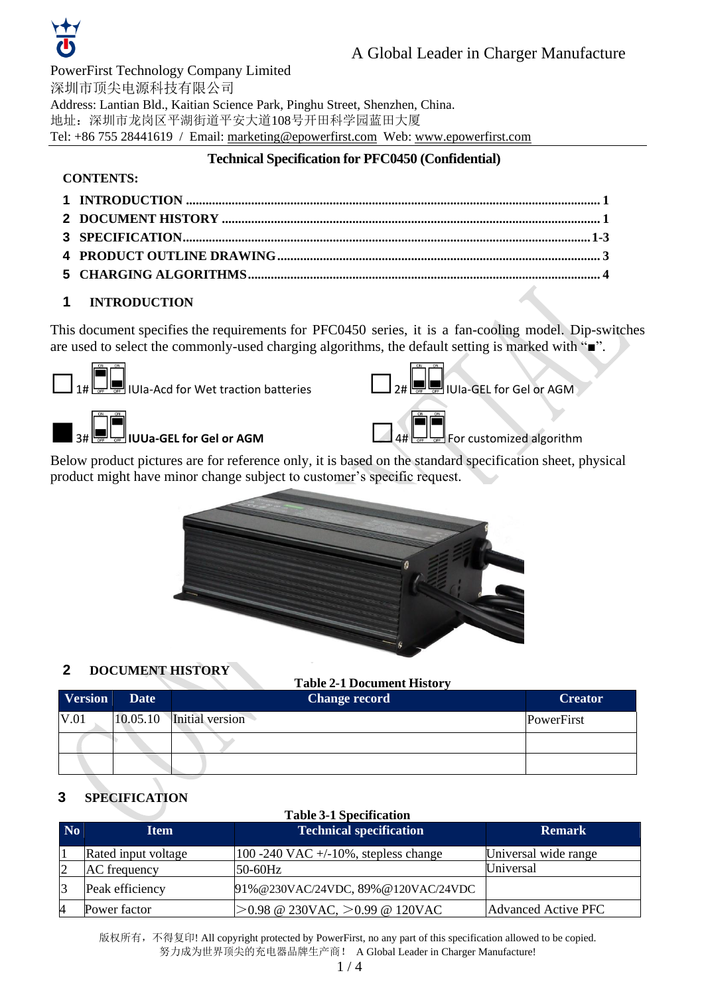

PowerFirst Technology Company Limited 深圳市顶尖电源科技有限公司 Address: Lantian Bld., Kaitian Science Park, Pinghu Street, Shenzhen, China. 地址:深圳市龙岗区平湖街道平安大道108号开田科学园蓝田大厦 Tel: +86 755 28441619 / Email: marketing@epowerfirst.com Web: www.epowerfirst.com

# **Technical Specification for PFC0450 (Confidential)**

## **CONTENTS:**

# <span id="page-0-0"></span>**1 INTRODUCTION**

This document specifies the requirements for PFC0450 series, it is a fan-cooling model. Dip-switches are used to select the commonly-used charging algorithms, the default setting is marked with "■".





■3# **IUUa-GEL for Gel or AGM** □4# For customized algorithm

Below product pictures are for reference only, it is based on the standard specification sheet, physical product might have minor change subject to customer's specific request.



# <span id="page-0-1"></span>**2 DOCUMENT HISTORY**

| <b>Table 2-1 Document History</b> |          |                      |                |  |
|-----------------------------------|----------|----------------------|----------------|--|
| <b>Version</b>                    | Date     | <b>Change record</b> | <b>Creator</b> |  |
| V.01                              | 10.05.10 | Initial version      | PowerFirst     |  |
|                                   |          |                      |                |  |
|                                   |          |                      |                |  |

# **3 SPECIFICATION**

| N <sub>o</sub> | <b>Item</b>         | <b>Technical specification</b>           | <b>Remark</b>        |
|----------------|---------------------|------------------------------------------|----------------------|
|                | Rated input voltage | 100 -240 VAC $+/-10\%$ , stepless change | Universal wide range |
| 2              | AC frequency        | 50-60Hz                                  | Universal            |
| $\overline{3}$ | Peak efficiency     | 91% @230VAC/24VDC, 89% @120VAC/24VDC     |                      |
| $\overline{4}$ | Power factor        | $>0.98$ @ 230VAC, $>0.99$ @ 120VAC       | Advanced Active PFC  |

版权所有, 不得复印! All copyright protected by PowerFirst, no any part of this specification allowed to be copied. 努力成为世界顶尖的充电器品牌生产商! A Global Leader in Charger Manufacture!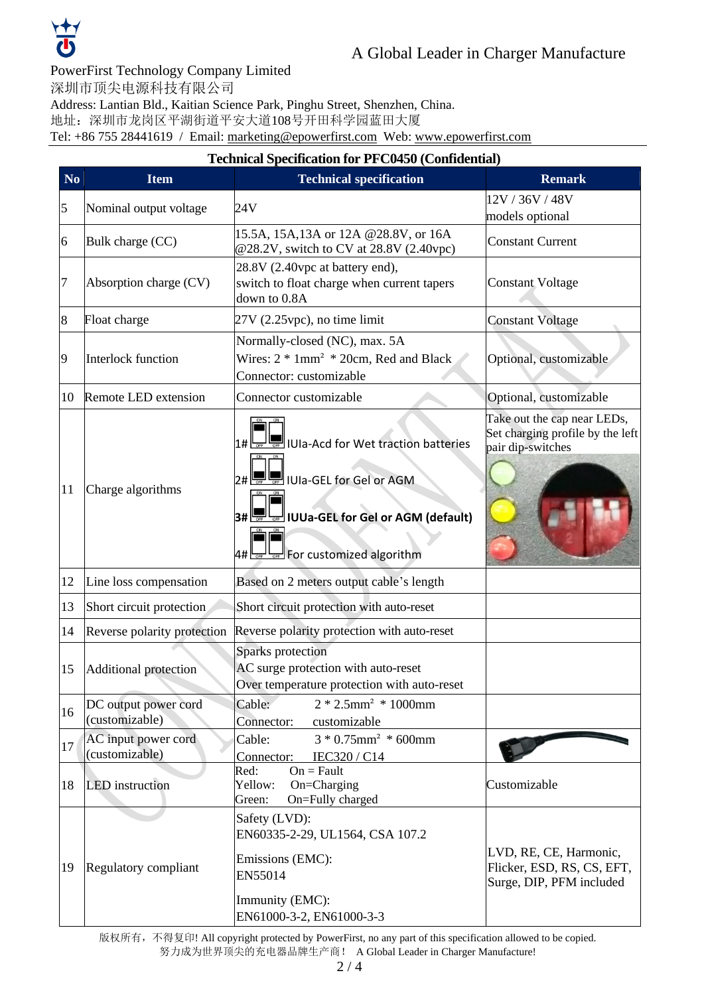

#### PowerFirst Technology Company Limited

深圳市顶尖电源科技有限公司

Address: Lantian Bld., Kaitian Science Park, Pinghu Street, Shenzhen, China.

地址:深圳市龙岗区平湖街道平安大道108号开田科学园蓝田大厦

Tel: +86 755 28441619 / Email: marketing@epowerfirst.com Web: www.epowerfirst.com

|                |                                        | <b>Technical Specification for PFC0450 (Confidential)</b>                                                                         |                                                                                      |
|----------------|----------------------------------------|-----------------------------------------------------------------------------------------------------------------------------------|--------------------------------------------------------------------------------------|
| N <sub>o</sub> | <b>Item</b>                            | <b>Technical specification</b>                                                                                                    | <b>Remark</b>                                                                        |
| 5              | Nominal output voltage                 | 24V                                                                                                                               | 12V / 36V / 48V                                                                      |
|                |                                        |                                                                                                                                   | models optional                                                                      |
| 6              | Bulk charge (CC)                       | 15.5A, 15A, 13A or 12A @28.8V, or 16A<br>@28.2V, switch to CV at 28.8V (2.40vpc)                                                  | <b>Constant Current</b>                                                              |
| 7              | Absorption charge (CV)                 | 28.8V (2.40vpc at battery end),<br>switch to float charge when current tapers<br>down to 0.8A                                     | <b>Constant Voltage</b>                                                              |
| 8              | Float charge                           | $27V$ (2.25 vpc), no time limit                                                                                                   | <b>Constant Voltage</b>                                                              |
| 9              | Interlock function                     | Normally-closed (NC), max. 5A<br>Wires: $2 * 1mm^2 * 20cm$ , Red and Black<br>Connector: customizable                             | Optional, customizable                                                               |
| 10             | Remote LED extension                   | Connector customizable                                                                                                            | Optional, customizable                                                               |
| 11             | Charge algorithms                      | IUIa-Acd for Wet traction batteries<br>2# <del>F F</del> IUIa-GEL for Gel or AGM<br>3#<br>न्न्य ।∪Ua-GEL for Gel or AGM (default) | Take out the cap near LEDs,<br>Set charging profile by the left<br>pair dip-switches |
|                | Line loss compensation                 | 4# <u>Lore Lore</u> For customized algorithm                                                                                      |                                                                                      |
| 12             |                                        | Based on 2 meters output cable's length                                                                                           |                                                                                      |
| 13             | Short circuit protection               | Short circuit protection with auto-reset                                                                                          |                                                                                      |
| 14             | Reverse polarity protection            | Reverse polarity protection with auto-reset                                                                                       |                                                                                      |
| 15             | Additional protection                  | Sparks protection<br>AC surge protection with auto-reset<br>Over temperature protection with auto-reset                           |                                                                                      |
| 16             | DC output power cord<br>(customizable) | Cable:<br>$2 * 2.5$ mm <sup>2</sup> * 1000mm<br>Connector:<br>customizable                                                        |                                                                                      |
| 17             | AC input power cord<br>(customizable)  | $3 * 0.75$ mm <sup>2</sup> * 600mm<br>Cable:<br>IEC320 / C14<br>Connector:                                                        |                                                                                      |
| 18             | <b>LED</b> instruction                 | $On = Fault$<br>Red:<br>On=Charging<br>Yellow:<br>On=Fully charged<br>Green:                                                      | Customizable                                                                         |
| 19             | Regulatory compliant                   | Safety (LVD):<br>EN60335-2-29, UL1564, CSA 107.2<br>Emissions (EMC):<br>EN55014<br>Immunity (EMC):<br>EN61000-3-2, EN61000-3-3    | LVD, RE, CE, Harmonic,<br>Flicker, ESD, RS, CS, EFT,<br>Surge, DIP, PFM included     |

版权所有, 不得复印! All copyright protected by PowerFirst, no any part of this specification allowed to be copied.

努力成为世界顶尖的充电器品牌生产商! A Global Leader in Charger Manufacture!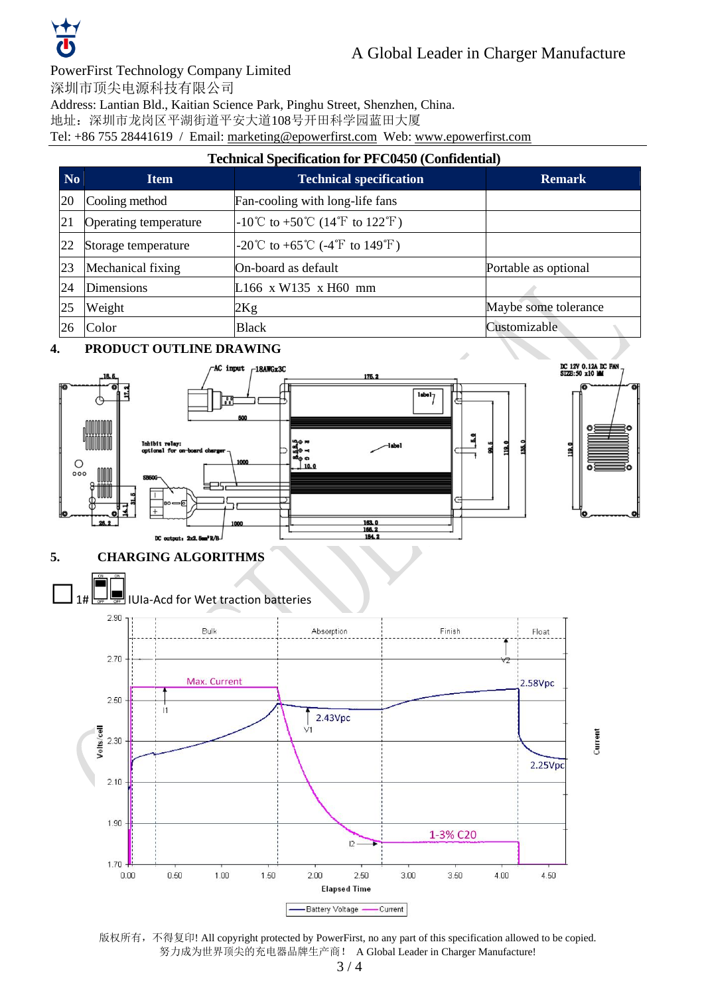

#### PowerFirst Technology Company Limited

深圳市顶尖电源科技有限公司

Address: Lantian Bld., Kaitian Science Park, Pinghu Street, Shenzhen, China.

地址:深圳市龙岗区平湖街道平安大道108号开田科学园蓝田大厦

Tel: +86 755 28441619 / Email: marketing@epowerfirst.com Web: www.epowerfirst.com

## **Technical Specification for PFC0450 (Confidential)**

| N <sub>o</sub> | <b>Item</b>           | <b>Technical specification</b>  | <b>Remark</b>        |
|----------------|-----------------------|---------------------------------|----------------------|
| 20             | Cooling method        | Fan-cooling with long-life fans |                      |
| 21             | Operating temperature | -10°C to +50°C (14°F to 122°F)  |                      |
| 22             | Storage temperature   | -20°C to +65°C (-4°F to 149°F)  |                      |
| 23             | Mechanical fixing     | On-board as default             | Portable as optional |
| 24             | <b>Dimensions</b>     | L166 x W135 x H60 mm            |                      |
| 25             | Weight                | 2Kg                             | Maybe some tolerance |
| 26             | Color                 | <b>Black</b>                    | Customizable         |

#### **4. PRODUCT OUTLINE DRAWING**



### **5. CHARGING ALGORITHMS**



版权所有,不得复印! All copyright protected by PowerFirst, no any part of this specification allowed to be copied. 努力成为世界顶尖的充电器品牌生产商! A Global Leader in Charger Manufacture!